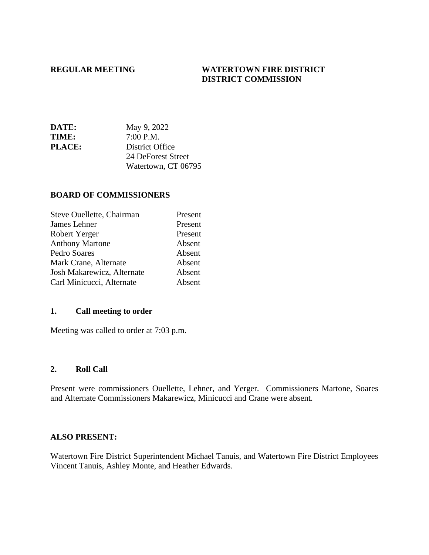## **REGULAR MEETING WATERTOWN FIRE DISTRICT DISTRICT COMMISSION**

| <b>DATE:</b>  | May 9, 2022         |
|---------------|---------------------|
| <b>TIME:</b>  | 7:00 P.M.           |
| <b>PLACE:</b> | District Office     |
|               | 24 DeForest Street  |
|               | Watertown, CT 06795 |

#### **BOARD OF COMMISSIONERS**

| Steve Ouellette, Chairman  | Present |
|----------------------------|---------|
| James Lehner               | Present |
| Robert Yerger              | Present |
| <b>Anthony Martone</b>     | Absent  |
| Pedro Soares               | Absent  |
| Mark Crane, Alternate      | Absent  |
| Josh Makarewicz, Alternate | Absent  |
| Carl Minicucci, Alternate  | Absent  |

#### **1. Call meeting to order**

Meeting was called to order at 7:03 p.m.

#### **2. Roll Call**

Present were commissioners Ouellette, Lehner, and Yerger. Commissioners Martone, Soares and Alternate Commissioners Makarewicz, Minicucci and Crane were absent.

### **ALSO PRESENT:**

Watertown Fire District Superintendent Michael Tanuis, and Watertown Fire District Employees Vincent Tanuis, Ashley Monte, and Heather Edwards.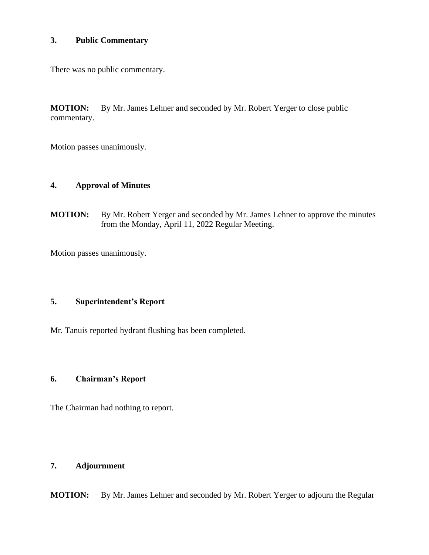## **3. Public Commentary**

There was no public commentary.

**MOTION:** By Mr. James Lehner and seconded by Mr. Robert Yerger to close public commentary.

Motion passes unanimously.

## **4. Approval of Minutes**

**MOTION:** By Mr. Robert Yerger and seconded by Mr. James Lehner to approve the minutes from the Monday, April 11, 2022 Regular Meeting.

Motion passes unanimously.

# **5. Superintendent's Report**

Mr. Tanuis reported hydrant flushing has been completed.

# **6. Chairman's Report**

The Chairman had nothing to report.

## **7. Adjournment**

**MOTION:** By Mr. James Lehner and seconded by Mr. Robert Yerger to adjourn the Regular